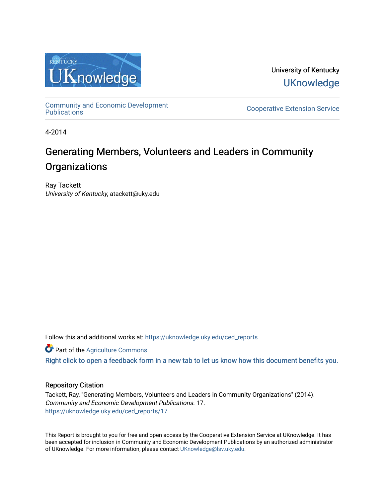

University of Kentucky **UKnowledge** 

[Community and Economic Development](https://uknowledge.uky.edu/ced_reports) 

**Cooperative Extension Service** 

4-2014

# Generating Members, Volunteers and Leaders in Community **Organizations**

Ray Tackett University of Kentucky, atackett@uky.edu

Follow this and additional works at: [https://uknowledge.uky.edu/ced\\_reports](https://uknowledge.uky.edu/ced_reports?utm_source=uknowledge.uky.edu%2Fced_reports%2F17&utm_medium=PDF&utm_campaign=PDFCoverPages)

**C** Part of the [Agriculture Commons](http://network.bepress.com/hgg/discipline/1076?utm_source=uknowledge.uky.edu%2Fced_reports%2F17&utm_medium=PDF&utm_campaign=PDFCoverPages)

[Right click to open a feedback form in a new tab to let us know how this document benefits you.](https://uky.az1.qualtrics.com/jfe/form/SV_9mq8fx2GnONRfz7)

### Repository Citation

Tackett, Ray, "Generating Members, Volunteers and Leaders in Community Organizations" (2014). Community and Economic Development Publications. 17. [https://uknowledge.uky.edu/ced\\_reports/17](https://uknowledge.uky.edu/ced_reports/17?utm_source=uknowledge.uky.edu%2Fced_reports%2F17&utm_medium=PDF&utm_campaign=PDFCoverPages) 

This Report is brought to you for free and open access by the Cooperative Extension Service at UKnowledge. It has been accepted for inclusion in Community and Economic Development Publications by an authorized administrator of UKnowledge. For more information, please contact [UKnowledge@lsv.uky.edu.](mailto:UKnowledge@lsv.uky.edu)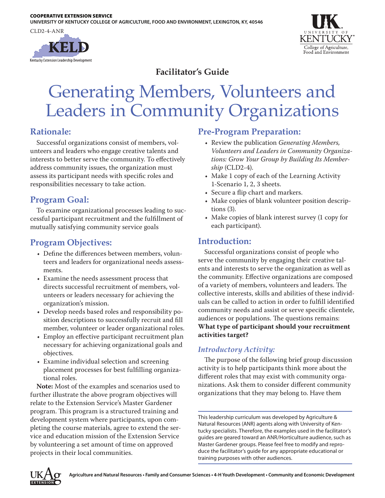CLD2-4-ANR





# **Facilitator's Guide**

# Generating Members, Volunteers and Leaders in Community Organizations

### **Rationale:**

Successful organizations consist of members, volunteers and leaders who engage creative talents and interests to better serve the community. To effectively address community issues, the organization must assess its participant needs with specific roles and responsibilities necessary to take action.

# **Program Goal:**

To examine organizational processes leading to successful participant recruitment and the fulfillment of mutually satisfying community service goals

# **Program Objectives:**

- Define the differences between members, volunteers and leaders for organizational needs assessments.
- Examine the needs assessment process that directs successful recruitment of members, volunteers or leaders necessary for achieving the organization's mission.
- Develop needs based roles and responsibility position descriptions to successfully recruit and fill member, volunteer or leader organizational roles.
- Employ an effective participant recruitment plan necessary for achieving organizational goals and objectives.
- Examine individual selection and screening placement processes for best fulfilling organizational roles.

**Note:** Most of the examples and scenarios used to further illustrate the above program objectives will relate to the Extension Service's Master Gardener program. This program is a structured training and development system where participants, upon completing the course materials, agree to extend the service and education mission of the Extension Service by volunteering a set amount of time on approved projects in their local communities.

### **Pre-Program Preparation:**

- • Review the publication *Generating Members, Volunteers and Leaders in Community Organizations: Grow Your Group by Building Its Membership* (CLD2-4).
- Make 1 copy of each of the Learning Activity 1-Scenario 1, 2, 3 sheets.
- Secure a flip chart and markers.
- • Make copies of blank volunteer position descriptions (3).
- Make copies of blank interest survey (1 copy for each participant).

### **Introduction:**

Successful organizations consist of people who serve the community by engaging their creative talents and interests to serve the organization as well as the community. Effective organizations are composed of a variety of members, volunteers and leaders. The collective interests, skills and abilities of these individuals can be called to action in order to fulfill identified community needs and assist or serve specific clientele, audiences or populations. The questions remains: **What type of participant should your recruitment activities target?**

### *Introductory Activity:*

The purpose of the following brief group discussion activity is to help participants think more about the different roles that may exist with community organizations. Ask them to consider different community organizations that they may belong to. Have them

This leadership curriculum was developed by Agriculture & Natural Resources (ANR) agents along with University of Kentucky specialists. Therefore, the examples used in the facilitator's guides are geared toward an ANR/Horticulture audience, such as Master Gardener groups. Please feel free to modify and reproduce the facilitator's guide for any appropriate educational or training purposes with other audiences.

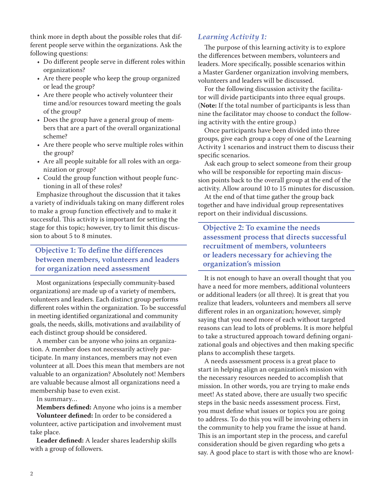think more in depth about the possible roles that different people serve within the organizations. Ask the following questions:

- Do different people serve in different roles within organizations?
- • Are there people who keep the group organized or lead the group?
- Are there people who actively volunteer their time and/or resources toward meeting the goals of the group?
- • Does the group have a general group of members that are a part of the overall organizational scheme?
- • Are there people who serve multiple roles within the group?
- • Are all people suitable for all roles with an organization or group?
- • Could the group function without people functioning in all of these roles?

Emphasize throughout the discussion that it takes a variety of individuals taking on many different roles to make a group function effectively and to make it successful. This activity is important for setting the stage for this topic; however, try to limit this discussion to about 5 to 8 minutes.

### **Objective 1: To define the differences between members, volunteers and leaders for organization need assessment**

Most organizations (especially community-based organizations) are made up of a variety of members, volunteers and leaders. Each distinct group performs different roles within the organization. To be successful in meeting identified organizational and community goals, the needs, skills, motivations and availability of each distinct group should be considered.

A member can be anyone who joins an organization. A member does not necessarily actively participate. In many instances, members may not even volunteer at all. Does this mean that members are not valuable to an organization? Absolutely not! Members are valuable because almost all organizations need a membership base to even exist.

In summary…

**Members defined:** Anyone who joins is a member **Volunteer defined:** In order to be considered a

volunteer, active participation and involvement must take place.

**Leader defined:** A leader shares leadership skills with a group of followers.

### *Learning Activity 1:*

The purpose of this learning activity is to explore the differences between members, volunteers and leaders. More specifically, possible scenarios within a Master Gardener organization involving members, volunteers and leaders will be discussed.

For the following discussion activity the facilitator will divide participants into three equal groups. (**Note:** If the total number of participants is less than nine the facilitator may choose to conduct the following activity with the entire group.)

Once participants have been divided into three groups, give each group a copy of one of the Learning Activity 1 scenarios and instruct them to discuss their specific scenarios.

Ask each group to select someone from their group who will be responsible for reporting main discussion points back to the overall group at the end of the activity. Allow around 10 to 15 minutes for discussion.

At the end of that time gather the group back together and have individual group representatives report on their individual discussions.

**Objective 2: To examine the needs assessment process that directs successful recruitment of members, volunteers or leaders necessary for achieving the organization's mission**

It is not enough to have an overall thought that you have a need for more members, additional volunteers or additional leaders (or all three). It is great that you realize that leaders, volunteers and members all serve different roles in an organization; however, simply saying that you need more of each without targeted reasons can lead to lots of problems. It is more helpful to take a structured approach toward defining organizational goals and objectives and then making specific plans to accomplish these targets.

A needs assessment process is a great place to start in helping align an organization's mission with the necessary resources needed to accomplish that mission. In other words, you are trying to make ends meet! As stated above, there are usually two specific steps in the basic needs assessment process. First, you must define what issues or topics you are going to address. To do this you will be involving others in the community to help you frame the issue at hand. This is an important step in the process, and careful consideration should be given regarding who gets a say. A good place to start is with those who are knowl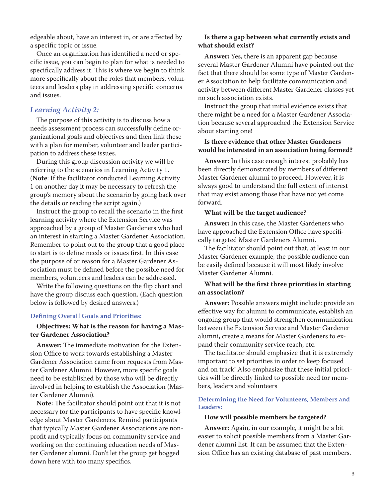edgeable about, have an interest in, or are affected by a specific topic or issue.

Once an organization has identified a need or specific issue, you can begin to plan for what is needed to specifically address it. This is where we begin to think more specifically about the roles that members, volunteers and leaders play in addressing specific concerns and issues.

#### *Learning Activity 2:*

The purpose of this activity is to discuss how a needs assessment process can successfully define organizational goals and objectives and then link these with a plan for member, volunteer and leader participation to address these issues.

During this group discussion activity we will be referring to the scenarios in Learning Activity 1. (**Note**: If the facilitator conducted Learning Activity 1 on another day it may be necessary to refresh the group's memory about the scenario by going back over the details or reading the script again.)

Instruct the group to recall the scenario in the first learning activity where the Extension Service was approached by a group of Master Gardeners who had an interest in starting a Master Gardener Association. Remember to point out to the group that a good place to start is to define needs or issues first. In this case the purpose of or reason for a Master Gardener Association must be defined before the possible need for members, volunteers and leaders can be addressed.

Write the following questions on the flip chart and have the group discuss each question. (Each question below is followed by desired answers.)

#### **Defining Overall Goals and Priorities:**

#### **Objectives: What is the reason for having a Master Gardener Association?**

**Answer:** The immediate motivation for the Extension Office to work towards establishing a Master Gardener Association came from requests from Master Gardener Alumni. However, more specific goals need to be established by those who will be directly involved in helping to establish the Association (Master Gardener Alumni).

**Note:** The facilitator should point out that it is not necessary for the participants to have specific knowledge about Master Gardeners. Remind participants that typically Master Gardener Associations are nonprofit and typically focus on community service and working on the continuing education needs of Master Gardener alumni. Don't let the group get bogged down here with too many specifics.

#### **Is there a gap between what currently exists and what should exist?**

**Answer:** Yes, there is an apparent gap because several Master Gardener Alumni have pointed out the fact that there should be some type of Master Gardener Association to help facilitate communication and activity between different Master Gardener classes yet no such association exists.

Instruct the group that initial evidence exists that there might be a need for a Master Gardener Association because several approached the Extension Service about starting one!

#### **Is there evidence that other Master Gardeners would be interested in an association being formed?**

**Answer:** In this case enough interest probably has been directly demonstrated by members of different Master Gardener alumni to proceed. However, it is always good to understand the full extent of interest that may exist among those that have not yet come forward.

#### **What will be the target audience?**

**Answer:** In this case, the Master Gardeners who have approached the Extension Office have specifically targeted Master Gardeners Alumni.

The facilitator should point out that, at least in our Master Gardener example, the possible audience can be easily defined because it will most likely involve Master Gardener Alumni.

#### **What will be the first three priorities in starting an association?**

**Answer:** Possible answers might include: provide an effective way for alumni to communicate, establish an ongoing group that would strengthen communication between the Extension Service and Master Gardener alumni, create a means for Master Gardeners to expand their community service reach, etc.

The facilitator should emphasize that it is extremely important to set priorities in order to keep focused and on track! Also emphasize that these initial priorities will be directly linked to possible need for members, leaders and volunteers

#### **Determining the Need for Volunteers, Members and Leaders:**

#### **How will possible members be targeted?**

**Answer:** Again, in our example, it might be a bit easier to solicit possible members from a Master Gardener alumni list. It can be assumed that the Extension Office has an existing database of past members.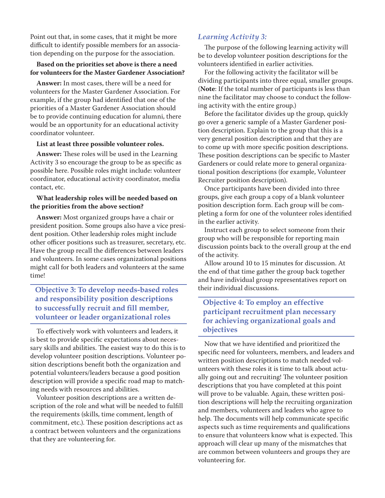Point out that, in some cases, that it might be more difficult to identify possible members for an association depending on the purpose for the association.

#### **Based on the priorities set above is there a need for volunteers for the Master Gardener Association?**

**Answer:** In most cases, there will be a need for volunteers for the Master Gardener Association. For example, if the group had identified that one of the priorities of a Master Gardener Association should be to provide continuing education for alumni, there would be an opportunity for an educational activity coordinator volunteer.

#### **List at least three possible volunteer roles.**

**Answer:** These roles will be used in the Learning Activity 3 so encourage the group to be as specific as possible here. Possible roles might include: volunteer coordinator, educational activity coordinator, media contact, etc.

#### **What leadership roles will be needed based on the priorities from the above section?**

**Answer:** Most organized groups have a chair or president position. Some groups also have a vice president position. Other leadership roles might include other officer positions such as treasurer, secretary, etc. Have the group recall the differences between leaders and volunteers. In some cases organizational positions might call for both leaders and volunteers at the same time!

### **Objective 3: To develop needs-based roles and responsibility position descriptions to successfully recruit and fill member, volunteer or leader organizational roles**

To effectively work with volunteers and leaders, it is best to provide specific expectations about necessary skills and abilities. The easiest way to do this is to develop volunteer position descriptions. Volunteer position descriptions benefit both the organization and potential volunteers/leaders because a good position description will provide a specific road map to matching needs with resources and abilities.

Volunteer position descriptions are a written description of the role and what will be needed to fulfill the requirements (skills, time comment, length of commitment, etc.). These position descriptions act as a contract between volunteers and the organizations that they are volunteering for.

### *Learning Activity 3:*

The purpose of the following learning activity will be to develop volunteer position descriptions for the volunteers identified in earlier activities.

For the following activity the facilitator will be dividing participants into three equal, smaller groups. (**Note**: If the total number of participants is less than nine the facilitator may choose to conduct the following activity with the entire group.)

Before the facilitator divides up the group, quickly go over a generic sample of a Master Gardener position description. Explain to the group that this is a very general position description and that they are to come up with more specific position descriptions. These position descriptions can be specific to Master Gardeners or could relate more to general organizational position descriptions (for example, Volunteer Recruiter position description).

Once participants have been divided into three groups, give each group a copy of a blank volunteer position description form. Each group will be completing a form for one of the volunteer roles identified in the earlier activity.

Instruct each group to select someone from their group who will be responsible for reporting main discussion points back to the overall group at the end of the activity.

Allow around 10 to 15 minutes for discussion. At the end of that time gather the group back together and have individual group representatives report on their individual discussions.

### **Objective 4: To employ an effective participant recruitment plan necessary for achieving organizational goals and objectives**

Now that we have identified and prioritized the specific need for volunteers, members, and leaders and written position descriptions to match needed volunteers with these roles it is time to talk about actually going out and recruiting! The volunteer position descriptions that you have completed at this point will prove to be valuable. Again, these written position descriptions will help the recruiting organization and members, volunteers and leaders who agree to help. The documents will help communicate specific aspects such as time requirements and qualifications to ensure that volunteers know what is expected. This approach will clear up many of the mismatches that are common between volunteers and groups they are volunteering for.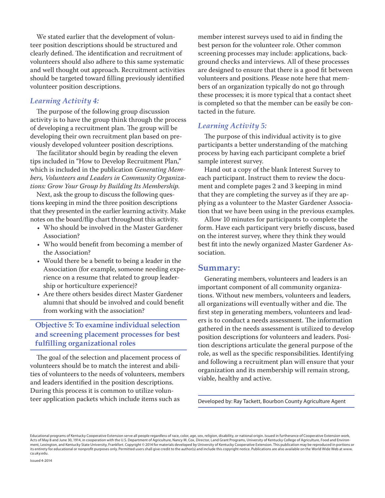We stated earlier that the development of volunteer position descriptions should be structured and clearly defined. The identification and recruitment of volunteers should also adhere to this same systematic and well thought out approach. Recruitment activities should be targeted toward filling previously identified volunteer position descriptions.

#### *Learning Activity 4:*

The purpose of the following group discussion activity is to have the group think through the process of developing a recruitment plan. The group will be developing their own recruitment plan based on previously developed volunteer position descriptions.

The facilitator should begin by reading the eleven tips included in "How to Develop Recruitment Plan," which is included in the publication *Generating Members, Volunteers and Leaders in Community Organizations: Grow Your Group by Building Its Membership*.

Next, ask the group to discuss the following questions keeping in mind the three position descriptions that they presented in the earlier learning activity. Make notes on the board/flip chart throughout this activity.

- Who should be involved in the Master Gardener Association?
- • Who would benefit from becoming a member of the Association?
- Would there be a benefit to being a leader in the Association (for example, someone needing experience on a resume that related to group leadership or horticulture experience)?
- Are there others besides direct Master Gardener alumni that should be involved and could benefit from working with the association?

**Objective 5: To examine individual selection and screening placement processes for best fulfilling organizational roles**

The goal of the selection and placement process of volunteers should be to match the interest and abilities of volunteers to the needs of volunteers, members and leaders identified in the position descriptions. During this process it is common to utilize volunteer application packets which include items such as

member interest surveys used to aid in finding the best person for the volunteer role. Other common screening processes may include: applications, background checks and interviews. All of these processes are designed to ensure that there is a good fit between volunteers and positions. Please note here that members of an organization typically do not go through these processes; it is more typical that a contact sheet is completed so that the member can be easily be contacted in the future.

#### *Learning Activity 5:*

The purpose of this individual activity is to give participants a better understanding of the matching process by having each participant complete a brief sample interest survey.

Hand out a copy of the blank Interest Survey to each participant. Instruct them to review the document and complete pages 2 and 3 keeping in mind that they are completing the survey as if they are applying as a volunteer to the Master Gardener Association that we have been using in the previous examples.

Allow 10 minutes for participants to complete the form. Have each participant very briefly discuss, based on the interest survey, where they think they would best fit into the newly organized Master Gardener Association.

#### **Summary:**

Generating members, volunteers and leaders is an important component of all community organizations. Without new members, volunteers and leaders, all organizations will eventually wither and die. The first step in generating members, volunteers and leaders is to conduct a needs assessment. The information gathered in the needs assessment is utilized to develop position descriptions for volunteers and leaders. Position descriptions articulate the general purpose of the role, as well as the specific responsibilities. Identifying and following a recruitment plan will ensure that your organization and its membership will remain strong, viable, healthy and active.

Developed by: Ray Tackett, Bourbon County Agriculture Agent

Educational programs of Kentucky Cooperative Extension serve all people regardless of race, color, age, sex, religion, disability, or national origin. Issued in furtherance of Cooperative Extension work, Acts of May 8 and June 30, 1914, in cooperation with the U.S. Department of Agriculture, Nancy M. Cox, Director, Land Grant Programs, University of Kentucky College of Agriculture, Food and Environment, Lexington, and Kentucky State University, Frankfort. Copyright © 2014 for materials developed by University of Kentucky Cooperative Extension. This publication may be reproduced in portions or its entirety for educational or nonprofit purposes only. Permitted users shall give credit to the author(s) and include this copyright notice. Publications are also available on the World Wide Web at www. ca.uky.edu.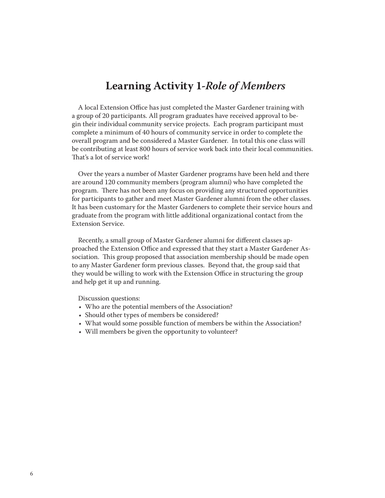# **Learning Activity 1-***Role of Members*

A local Extension Office has just completed the Master Gardener training with a group of 20 participants. All program graduates have received approval to begin their individual community service projects. Each program participant must complete a minimum of 40 hours of community service in order to complete the overall program and be considered a Master Gardener. In total this one class will be contributing at least 800 hours of service work back into their local communities. That's a lot of service work!

Over the years a number of Master Gardener programs have been held and there are around 120 community members (program alumni) who have completed the program. There has not been any focus on providing any structured opportunities for participants to gather and meet Master Gardener alumni from the other classes. It has been customary for the Master Gardeners to complete their service hours and graduate from the program with little additional organizational contact from the Extension Service.

Recently, a small group of Master Gardener alumni for different classes approached the Extension Office and expressed that they start a Master Gardener Association. This group proposed that association membership should be made open to any Master Gardener form previous classes. Beyond that, the group said that they would be willing to work with the Extension Office in structuring the group and help get it up and running.

Discussion questions:

- Who are the potential members of the Association?
- • Should other types of members be considered?
- What would some possible function of members be within the Association?
- Will members be given the opportunity to volunteer?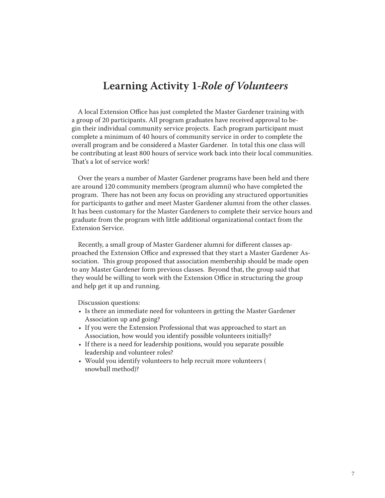# **Learning Activity 1***-Role of Volunteers*

A local Extension Office has just completed the Master Gardener training with a group of 20 participants. All program graduates have received approval to begin their individual community service projects. Each program participant must complete a minimum of 40 hours of community service in order to complete the overall program and be considered a Master Gardener. In total this one class will be contributing at least 800 hours of service work back into their local communities. That's a lot of service work!

Over the years a number of Master Gardener programs have been held and there are around 120 community members (program alumni) who have completed the program. There has not been any focus on providing any structured opportunities for participants to gather and meet Master Gardener alumni from the other classes. It has been customary for the Master Gardeners to complete their service hours and graduate from the program with little additional organizational contact from the Extension Service.

Recently, a small group of Master Gardener alumni for different classes approached the Extension Office and expressed that they start a Master Gardener Association. This group proposed that association membership should be made open to any Master Gardener form previous classes. Beyond that, the group said that they would be willing to work with the Extension Office in structuring the group and help get it up and running.

Discussion questions:

- Is there an immediate need for volunteers in getting the Master Gardener Association up and going?
- If you were the Extension Professional that was approached to start an Association, how would you identify possible volunteers initially?
- If there is a need for leadership positions, would you separate possible leadership and volunteer roles?
- Would you identify volunteers to help recruit more volunteers ( snowball method)?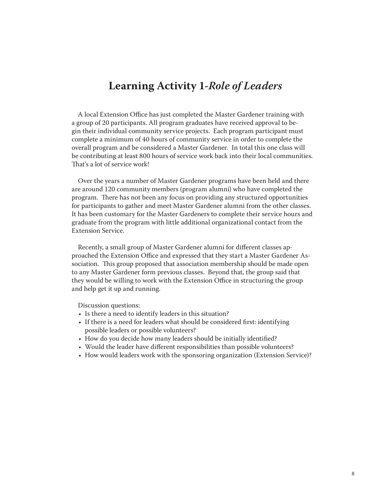# **Learning Activity 1-***Role of Leaders*

A local Extension Office has just completed the Master Gardener training with a group of 20 participants. All program graduates have received approval to begin their individual community service projects. Each program participant must complete a minimum of 40 hours of community service in order to complete the overall program and be considered a Master Gardener. In total this one class will be contributing at least 800 hours of service work back into their local communities. That's a lot of service work!

Over the years a number of Master Gardener programs have been held and there are around 120 community members (program alumni) who have completed the program. There has not been any focus on providing any structured opportunities for participants to gather and meet Master Gardener alumni from the other classes. It has been customary for the Master Gardeners to complete their service hours and graduate from the program with little additional organizational contact from the Extension Service.

Recently, a small group of Master Gardener alumni for different classes approached the Extension Office and expressed that they start a Master Gardener Association. This group proposed that association membership should be made open to any Master Gardener form previous classes. Beyond that, the group said that they would be willing to work with the Extension Office in structuring the group and help get it up and running.

Discussion questions:

- Is there a need to identify leaders in this situation?
- If there is a need for leaders what should be considered first: identifying possible leaders or possible volunteers?
- How do you decide how many leaders should be initially identified?
- Would the leader have different responsibilities than possible volunteers?
- How would leaders work with the sponsoring organization (Extension Service)?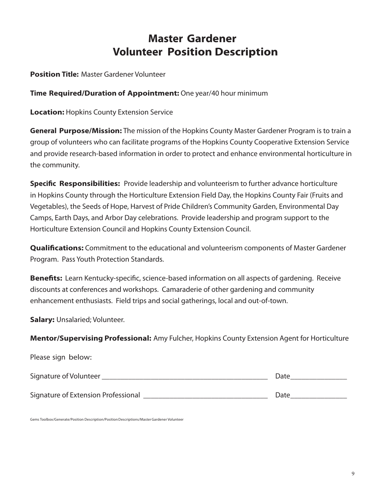# **Master Gardener Volunteer Position Description**

**Position Title:** Master Gardener Volunteer

**Time Required/Duration of Appointment:** One year/40 hour minimum

**Location:** Hopkins County Extension Service

**General Purpose/Mission:** The mission of the Hopkins County Master Gardener Program is to train a group of volunteers who can facilitate programs of the Hopkins County Cooperative Extension Service and provide research-based information in order to protect and enhance environmental horticulture in the community.

**Specific Responsibilities:** Provide leadership and volunteerism to further advance horticulture in Hopkins County through the Horticulture Extension Field Day, the Hopkins County Fair (Fruits and Vegetables), the Seeds of Hope, Harvest of Pride Children's Community Garden, Environmental Day Camps, Earth Days, and Arbor Day celebrations. Provide leadership and program support to the Horticulture Extension Council and Hopkins County Extension Council.

**Qualifications:** Commitment to the educational and volunteerism components of Master Gardener Program. Pass Youth Protection Standards.

**Benefits:** Learn Kentucky-specific, science-based information on all aspects of gardening. Receive discounts at conferences and workshops. Camaraderie of other gardening and community enhancement enthusiasts. Field trips and social gatherings, local and out-of-town.

**Salary:** Unsalaried; Volunteer.

**Mentor/Supervising Professional:** Amy Fulcher, Hopkins County Extension Agent for Horticulture

Please sign below:

| Signature of Volunteer              | Date |
|-------------------------------------|------|
| Signature of Extension Professional | Date |

Gems Toolbox/Generate/Position Description/Position Descriptions/Master Gardener Volunteer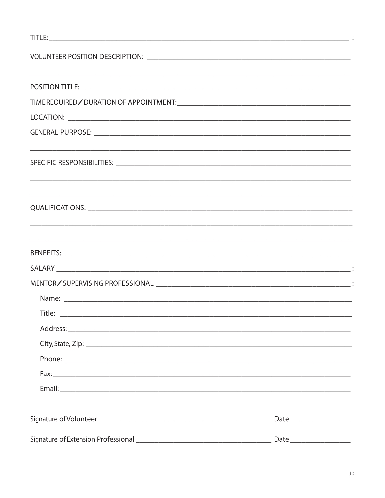| Title: |                                        |
|--------|----------------------------------------|
|        |                                        |
|        |                                        |
|        |                                        |
|        |                                        |
|        |                                        |
|        |                                        |
|        | $\text{Date} \underline{\hspace{2cm}}$ |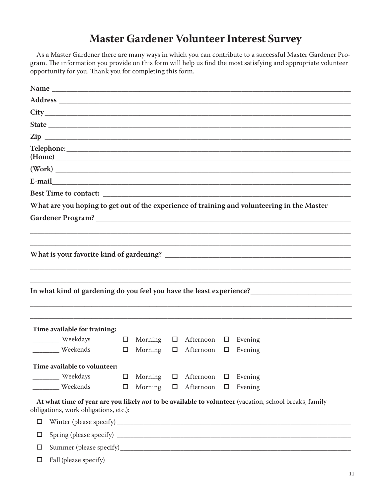# **Master Gardener Volunteer Interest Survey**

As a Master Gardener there are many ways in which you can contribute to a successful Master Gardener Program. The information you provide on this form will help us find the most satisfying and appropriate volunteer opportunity for you. Thank you for completing this form.

| Zip | <u> 2002 - Jan James James James James James James James James James James James James James James James James J</u> |        |         |        |                         |        |                                                                                                       |
|-----|----------------------------------------------------------------------------------------------------------------------|--------|---------|--------|-------------------------|--------|-------------------------------------------------------------------------------------------------------|
|     |                                                                                                                      |        |         |        |                         |        | (Home)                                                                                                |
|     | (Work)                                                                                                               |        |         |        |                         |        |                                                                                                       |
|     |                                                                                                                      |        |         |        |                         |        |                                                                                                       |
|     |                                                                                                                      |        |         |        |                         |        |                                                                                                       |
|     |                                                                                                                      |        |         |        |                         |        | What are you hoping to get out of the experience of training and volunteering in the Master           |
|     |                                                                                                                      |        |         |        |                         |        |                                                                                                       |
|     |                                                                                                                      |        |         |        |                         |        |                                                                                                       |
|     |                                                                                                                      |        |         |        |                         |        |                                                                                                       |
|     |                                                                                                                      |        |         |        |                         |        |                                                                                                       |
|     |                                                                                                                      |        |         |        |                         |        |                                                                                                       |
|     |                                                                                                                      |        |         |        |                         |        |                                                                                                       |
|     |                                                                                                                      |        |         |        |                         |        |                                                                                                       |
|     |                                                                                                                      |        |         |        |                         |        |                                                                                                       |
|     |                                                                                                                      |        |         |        |                         |        |                                                                                                       |
|     | Time available for training:                                                                                         |        |         |        |                         |        |                                                                                                       |
|     | Weekdays                                                                                                             | $\Box$ | Morning |        | $\Box$ Afternoon $\Box$ |        | Evening                                                                                               |
|     | Weekends                                                                                                             | $\Box$ | Morning |        | $\Box$ Afternoon $\Box$ |        | Evening                                                                                               |
|     | Time available to volunteer:                                                                                         |        |         |        |                         |        |                                                                                                       |
|     | Weekdays                                                                                                             | □      | Morning | $\Box$ | Afternoon               | □      | Evening                                                                                               |
|     | Weekends                                                                                                             | □      | Morning | $\Box$ | Afternoon               | $\Box$ | Evening                                                                                               |
|     |                                                                                                                      |        |         |        |                         |        | At what time of year are you likely not to be available to volunteer (vacation, school breaks, family |
|     | obligations, work obligations, etc.):                                                                                |        |         |        |                         |        |                                                                                                       |
| □   |                                                                                                                      |        |         |        |                         |        |                                                                                                       |
| □   |                                                                                                                      |        |         |        |                         |        |                                                                                                       |
| □   |                                                                                                                      |        |         |        |                         |        |                                                                                                       |
| □   |                                                                                                                      |        |         |        |                         |        |                                                                                                       |
|     |                                                                                                                      |        |         |        |                         |        |                                                                                                       |